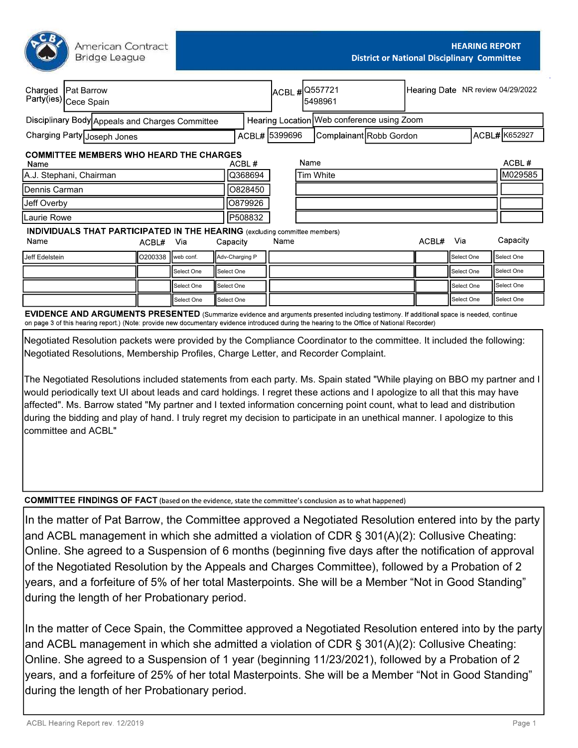American Contract **Bridge League** 

|                             | Charged   Pat Barrow<br>Party(ies) Cece Spain                                                                                                            |         |            |            |                |      | ACBL # 0557721<br>5498961 |                                            | Hearing Date NR review 04/29/2022 |            |              |
|-----------------------------|----------------------------------------------------------------------------------------------------------------------------------------------------------|---------|------------|------------|----------------|------|---------------------------|--------------------------------------------|-----------------------------------|------------|--------------|
|                             | Disciplinary Body Appeals and Charges Committee                                                                                                          |         |            |            |                |      |                           | Hearing Location Web conference using Zoom |                                   |            |              |
| Charging Party Joseph Jones |                                                                                                                                                          |         |            |            | ACBL# 5399696  |      |                           | Complainant Robb Gordon                    |                                   |            | ACBL#K652927 |
| Name                        | <b>COMMITTEE MEMBERS WHO HEARD THE CHARGES</b>                                                                                                           |         |            |            | ACBL#          |      | Name                      |                                            |                                   |            | ACBL#        |
| A.J. Stephani, Chairman     |                                                                                                                                                          |         |            |            | Q368694        |      |                           | Tim White                                  |                                   |            | M029585      |
| Dennis Carman<br>0828450    |                                                                                                                                                          |         |            |            |                |      |                           |                                            |                                   |            |              |
| Jeff Overby<br>O879926      |                                                                                                                                                          |         |            |            |                |      |                           |                                            |                                   |            |              |
| P508832<br>Laurie Rowe      |                                                                                                                                                          |         |            |            |                |      |                           |                                            |                                   |            |              |
| Name                        | <b>INDIVIDUALS THAT PARTICIPATED IN THE HEARING</b> (excluding committee members)                                                                        | ACBL#   | Via        | Capacity   |                | Name |                           |                                            | ACBL#                             | Via        | Capacity     |
| Jeff Edelstein              |                                                                                                                                                          | O200338 | web conf.  |            | Adv-Charging P |      |                           |                                            |                                   | Select One | Select One   |
|                             |                                                                                                                                                          |         | Select One | Select One |                |      |                           |                                            |                                   | Select One | Select One   |
|                             |                                                                                                                                                          |         | Select One | Select One |                |      |                           |                                            |                                   | Select One | Select One   |
|                             |                                                                                                                                                          |         | Select One | Select One |                |      |                           |                                            |                                   | Select One | Select One   |
|                             | <b>CVIDENCE AND ADCUMENTS DDESENTED</b> (Supposite suidance and accuments accepted including testimony if additional accepted accepted accepted accepted |         |            |            |                |      |                           |                                            |                                   |            |              |

EVIDENCE AND ARGUMEN I S PRESEN I ED (Summarize evidence and arguments presented including testimony. If additional space is needed, continue on page 3 of this hearing report.) (Note: provide new documentary evidence introduced during the hearing to the Office of National Recorder)

Negotiated Resolution packets were provided by the Compliance Coordinator to the committee. It included the following: Negotiated Resolutions, Membership Profiles, Charge Letter, and Recorder Complaint.

The Negotiated Resolutions included statements from each party. Ms. Spain stated "While playing on BBO my partner and I would periodically text UI about leads and card holdings. I regret these actions and I apologize to all that this may have affected". Ms. Barrow stated "My partner and I texted information concerning point count, what to lead and distribution during the bidding and play of hand. I truly regret my decision to participate in an unethical manner. I apologize to this committee and ACBL"

**COMMITTEE FINDINGS OF FACT** (based on the evidence, state the committee's conclusion as to what happened)

In the matter of Pat Barrow, the Committee approved a Negotiated Resolution entered into by the party and ACBL management in which she admitted a violation of CDR § 301(A)(2): Collusive Cheating: Online. She agreed to a Suspension of 6 months (beginning five days after the notification of approval of the Negotiated Resolution by the Appeals and Charges Committee), followed by a Probation of 2 years, and a forfeiture of 5% of her total Masterpoints. She will be a Member "Not in Good Standing" during the length of her Probationary period.

In the matter of Cece Spain, the Committee approved a Negotiated Resolution entered into by the party and ACBL management in which she admitted a violation of CDR § 301(A)(2): Collusive Cheating: Online. She agreed to a Suspension of 1 year (beginning 11/23/2021), followed by a Probation of 2 years, and a forfeiture of 25% of her total Masterpoints. She will be a Member "Not in Good Standing" during the length of her Probationary period.